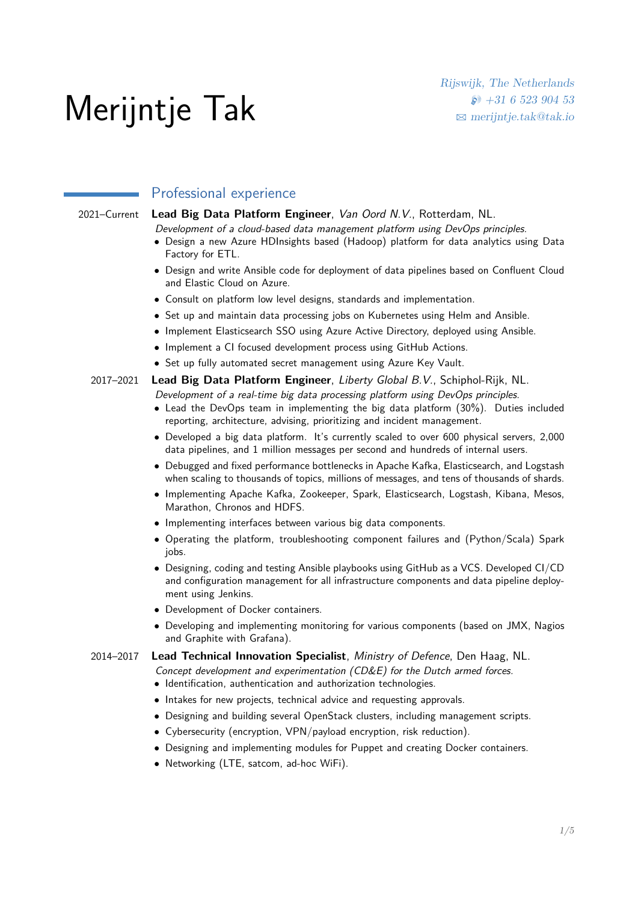# Merijntje Tak

## Professional experience

## 2021–Current **Lead Big Data Platform Engineer**, Van Oord N.V., Rotterdam, NL.

Development of a cloud-based data management platform using DevOps principles.

- Design a new Azure HDInsights based (Hadoop) platform for data analytics using Data Factory for ETL.
- Design and write Ansible code for deployment of data pipelines based on Confluent Cloud and Elastic Cloud on Azure.
- Consult on platform low level designs, standards and implementation.
- Set up and maintain data processing jobs on Kubernetes using Helm and Ansible.
- Implement Elasticsearch SSO using Azure Active Directory, deployed using Ansible.
- Implement a CI focused development process using GitHub Actions.
- Set up fully automated secret management using Azure Key Vault.

# 2017–2021 **Lead Big Data Platform Engineer**, Liberty Global B.V., Schiphol-Rijk, NL.

Development of a real-time big data processing platform using DevOps principles.

- Lead the DevOps team in implementing the big data platform (30%). Duties included reporting, architecture, advising, prioritizing and incident management.
- Developed a big data platform. It's currently scaled to over 600 physical servers, 2,000 data pipelines, and 1 million messages per second and hundreds of internal users.
- Debugged and fixed performance bottlenecks in Apache Kafka, Elasticsearch, and Logstash when scaling to thousands of topics, millions of messages, and tens of thousands of shards.
- Implementing Apache Kafka, Zookeeper, Spark, Elasticsearch, Logstash, Kibana, Mesos, Marathon, Chronos and HDFS.
- Implementing interfaces between various big data components.
- Operating the platform, troubleshooting component failures and (Python/Scala) Spark jobs.
- Designing, coding and testing Ansible playbooks using GitHub as a VCS. Developed CI/CD and configuration management for all infrastructure components and data pipeline deployment using Jenkins.
- Development of Docker containers.
- Developing and implementing monitoring for various components (based on JMX, Nagios and Graphite with Grafana).

## 2014–2017 **Lead Technical Innovation Specialist**, Ministry of Defence, Den Haag, NL.

- Concept development and experimentation (CD&E) for the Dutch armed forces.
	- Identification, authentication and authorization technologies.
	- Intakes for new projects, technical advice and requesting approvals.
	- Designing and building several OpenStack clusters, including management scripts.
	- Cybersecurity (encryption, VPN/payload encryption, risk reduction).
	- Designing and implementing modules for Puppet and creating Docker containers.
	- Networking (LTE, satcom, ad-hoc WiFi).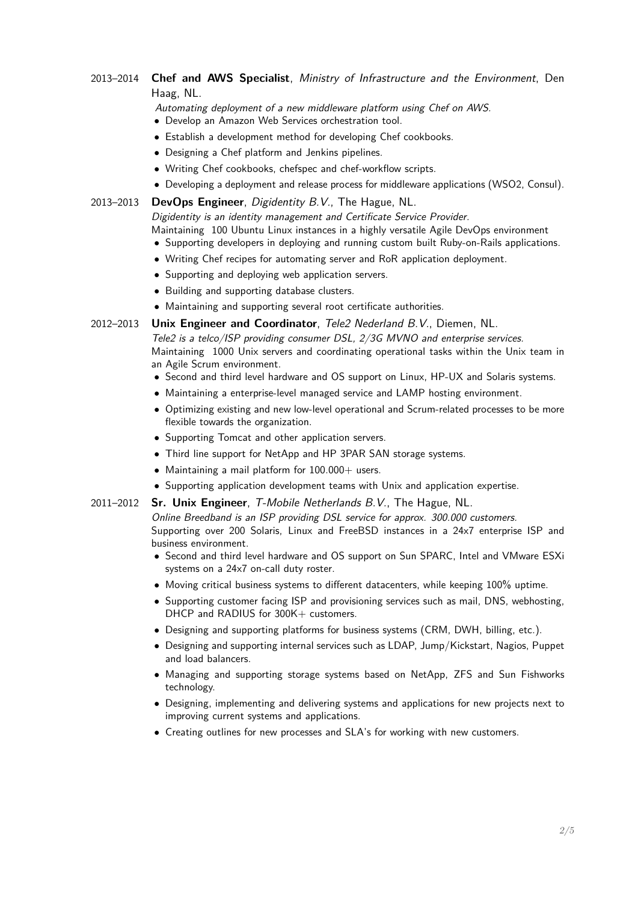## 2013–2014 **Chef and AWS Specialist**, Ministry of Infrastructure and the Environment, Den Haag, NL.

Automating deployment of a new middleware platform using Chef on AWS.

- Develop an Amazon Web Services orchestration tool.
- Establish a development method for developing Chef cookbooks.
- Designing a Chef platform and Jenkins pipelines.
- Writing Chef cookbooks, chefspec and chef-workflow scripts.
- Developing a deployment and release process for middleware applications (WSO2, Consul).

#### 2013–2013 **DevOps Engineer**, Digidentity B.V., The Hague, NL.

Digidentity is an identity management and Certificate Service Provider.

Maintaining 100 Ubuntu Linux instances in a highly versatile Agile DevOps environment

- Supporting developers in deploying and running custom built Ruby-on-Rails applications.
- Writing Chef recipes for automating server and RoR application deployment.
- Supporting and deploying web application servers.
- Building and supporting database clusters.
- Maintaining and supporting several root certificate authorities.
- 2012–2013 **Unix Engineer and Coordinator**, Tele2 Nederland B.V., Diemen, NL.

Tele2 is a telco/ISP providing consumer DSL, 2/3G MVNO and enterprise services. Maintaining 1000 Unix servers and coordinating operational tasks within the Unix team in an Agile Scrum environment.

- Second and third level hardware and OS support on Linux, HP-UX and Solaris systems.
- Maintaining a enterprise-level managed service and LAMP hosting environment.
- Optimizing existing and new low-level operational and Scrum-related processes to be more flexible towards the organization.
- Supporting Tomcat and other application servers.
- Third line support for NetApp and HP 3PAR SAN storage systems.
- Maintaining a mail platform for  $100.000+$  users.
- Supporting application development teams with Unix and application expertise.
- 2011–2012 **Sr. Unix Engineer**, T-Mobile Netherlands B.V., The Hague, NL.

Online Breedband is an ISP providing DSL service for approx. 300.000 customers. Supporting over 200 Solaris, Linux and FreeBSD instances in a 24x7 enterprise ISP and business environment.

- Second and third level hardware and OS support on Sun SPARC, Intel and VMware ESXi systems on a 24x7 on-call duty roster.
- Moving critical business systems to different datacenters, while keeping 100% uptime.
- Supporting customer facing ISP and provisioning services such as mail, DNS, webhosting, DHCP and RADIUS for 300K+ customers.
- Designing and supporting platforms for business systems (CRM, DWH, billing, etc.).
- Designing and supporting internal services such as LDAP, Jump/Kickstart, Nagios, Puppet and load balancers.
- Managing and supporting storage systems based on NetApp, ZFS and Sun Fishworks technology.
- Designing, implementing and delivering systems and applications for new projects next to improving current systems and applications.
- Creating outlines for new processes and SLA's for working with new customers.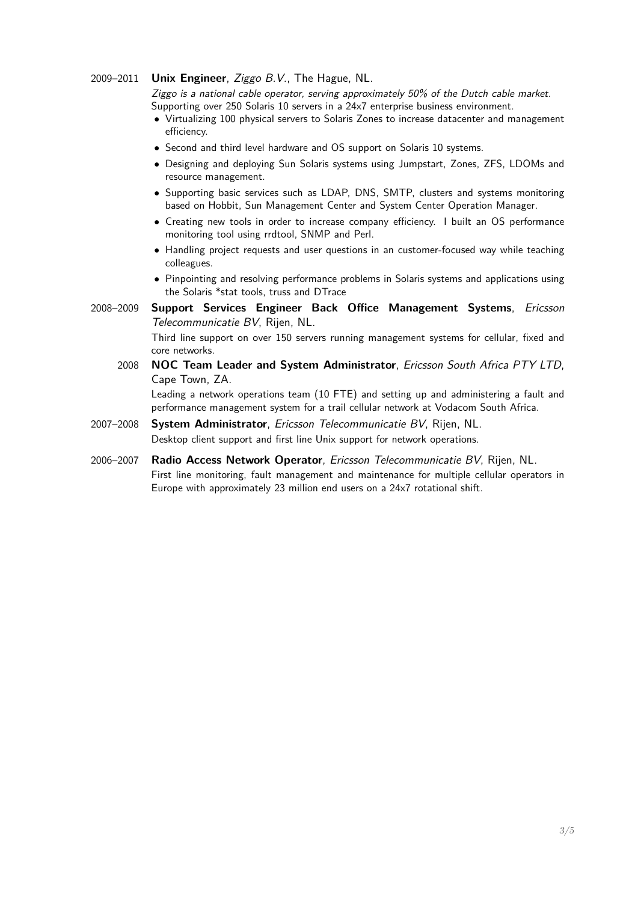#### 2009–2011 **Unix Engineer**, Ziggo B.V., The Hague, NL.

Ziggo is a national cable operator, serving approximately 50% of the Dutch cable market. Supporting over 250 Solaris 10 servers in a 24x7 enterprise business environment.

- Virtualizing 100 physical servers to Solaris Zones to increase datacenter and management efficiency.
- Second and third level hardware and OS support on Solaris 10 systems.
- Designing and deploying Sun Solaris systems using Jumpstart, Zones, ZFS, LDOMs and resource management.
- Supporting basic services such as LDAP, DNS, SMTP, clusters and systems monitoring based on Hobbit, Sun Management Center and System Center Operation Manager.
- Creating new tools in order to increase company efficiency. I built an OS performance monitoring tool using rrdtool, SNMP and Perl.
- Handling project requests and user questions in an customer-focused way while teaching colleagues.
- Pinpointing and resolving performance problems in Solaris systems and applications using the Solaris \*stat tools, truss and DTrace
- 2008–2009 **Support Services Engineer Back Office Management Systems**, Ericsson Telecommunicatie BV, Rijen, NL. Third line support on over 150 servers running management systems for cellular, fixed and core networks.
	- 2008 **NOC Team Leader and System Administrator**, Ericsson South Africa PTY LTD, Cape Town, ZA.

Leading a network operations team (10 FTE) and setting up and administering a fault and performance management system for a trail cellular network at Vodacom South Africa.

- 2007–2008 **System Administrator**, Ericsson Telecommunicatie BV, Rijen, NL. Desktop client support and first line Unix support for network operations.
- 2006–2007 **Radio Access Network Operator**, Ericsson Telecommunicatie BV, Rijen, NL. First line monitoring, fault management and maintenance for multiple cellular operators in Europe with approximately 23 million end users on a 24x7 rotational shift.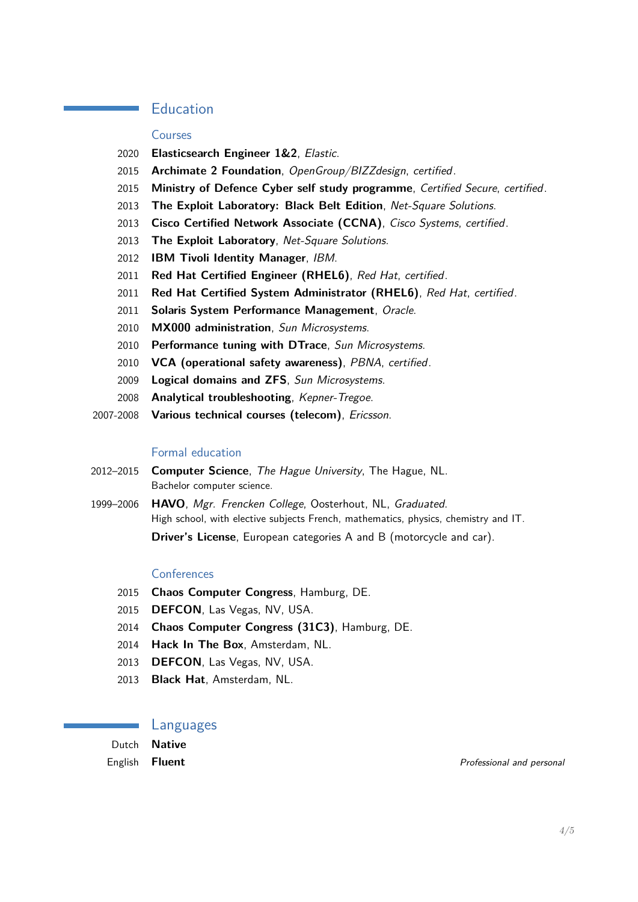## Education

#### Courses

- **Elasticsearch Engineer 1&2**, Elastic.
- **Archimate 2 Foundation**, OpenGroup/BIZZdesign, certified.
- **Ministry of Defence Cyber self study programme**, Certified Secure, certified.
- **The Exploit Laboratory: Black Belt Edition**, Net-Square Solutions.
- **Cisco Certified Network Associate (CCNA)**, Cisco Systems, certified.
- **The Exploit Laboratory**, Net-Square Solutions.
- **IBM Tivoli Identity Manager**, IBM.
- **Red Hat Certified Engineer (RHEL6)**, Red Hat, certified.
- **Red Hat Certified System Administrator (RHEL6)**, Red Hat, certified.
- **Solaris System Performance Management**, Oracle.
- **MX000 administration**, Sun Microsystems.
- **Performance tuning with DTrace**, Sun Microsystems.
- **VCA (operational safety awareness)**, PBNA, certified.
- **Logical domains and ZFS**, Sun Microsystems.
- **Analytical troubleshooting**, Kepner-Tregoe.
- 2007-2008 **Various technical courses (telecom)**, Ericsson.

#### Formal education

- 2012–2015 **Computer Science**, The Hague University, The Hague, NL. Bachelor computer science.
- 1999–2006 **HAVO**, Mgr. Frencken College, Oosterhout, NL, Graduated. High school, with elective subjects French, mathematics, physics, chemistry and IT. **Driver's License**, European categories A and B (motorcycle and car).

#### **Conferences**

- **Chaos Computer Congress**, Hamburg, DE.
- **DEFCON**, Las Vegas, NV, USA.
- **Chaos Computer Congress (31C3)**, Hamburg, DE.
- **Hack In The Box**, Amsterdam, NL.
- **DEFCON**, Las Vegas, NV, USA.
- **Black Hat**, Amsterdam, NL.

#### Languages

Dutch **Native**

**English Fluent Fluent Fluent Professional and personal and personal and personal and personal and personal and personal and personal and personal and personal and personal and personal and personal and personal an**